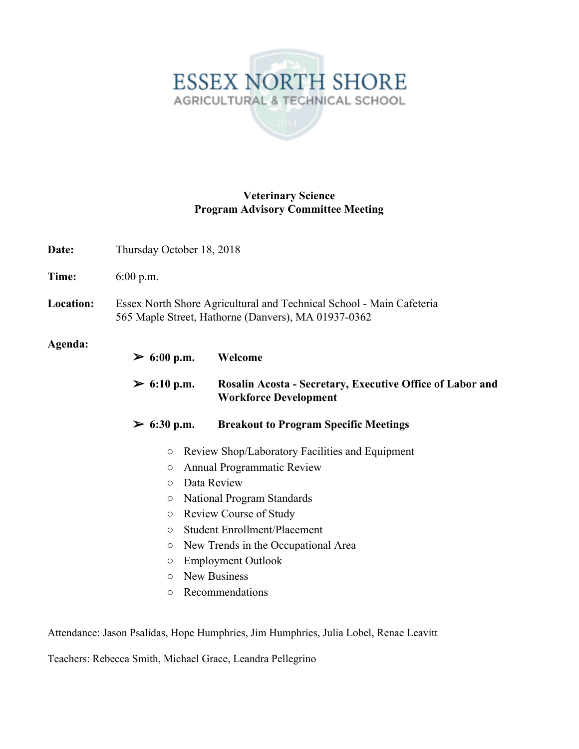## ESSEX NORTH SHORE AGRICULTURAL & TECHNICAL SCHOOL

## **Veterinary Science Program Advisory Committee Meeting**

| Date:                  | Thursday October 18, 2018                                                                                                   |                                                                                           |  |
|------------------------|-----------------------------------------------------------------------------------------------------------------------------|-------------------------------------------------------------------------------------------|--|
| Time:                  | $6:00$ p.m.                                                                                                                 |                                                                                           |  |
| Location:              | Essex North Shore Agricultural and Technical School - Main Cafeteria<br>565 Maple Street, Hathorne (Danvers), MA 01937-0362 |                                                                                           |  |
| Agenda:                | ≥ 6:00 p.m.                                                                                                                 | Welcome                                                                                   |  |
|                        | ≥ 6:10 p.m.                                                                                                                 | Rosalin Acosta - Secretary, Executive Office of Labor and<br><b>Workforce Development</b> |  |
|                        | ≥ 6:30 p.m.                                                                                                                 | <b>Breakout to Program Specific Meetings</b>                                              |  |
|                        | $\circ$                                                                                                                     | Review Shop/Laboratory Facilities and Equipment                                           |  |
|                        | $\circ$                                                                                                                     | <b>Annual Programmatic Review</b>                                                         |  |
| Data Review<br>$\circ$ |                                                                                                                             |                                                                                           |  |
|                        | $\circ$                                                                                                                     | National Program Standards                                                                |  |
|                        | $\circlearrowright$                                                                                                         | <b>Review Course of Study</b>                                                             |  |
|                        | $\bigcirc$                                                                                                                  | <b>Student Enrollment/Placement</b>                                                       |  |
|                        | $\circlearrowright$                                                                                                         | New Trends in the Occupational Area                                                       |  |
|                        | $\bigcirc$                                                                                                                  | <b>Employment Outlook</b>                                                                 |  |
|                        | $\circ$                                                                                                                     | New Business                                                                              |  |
|                        | $\circ$                                                                                                                     | Recommendations                                                                           |  |

Attendance: Jason Psalidas, Hope Humphries, Jim Humphries, Julia Lobel, Renae Leavitt

Teachers: Rebecca Smith, Michael Grace, Leandra Pellegrino